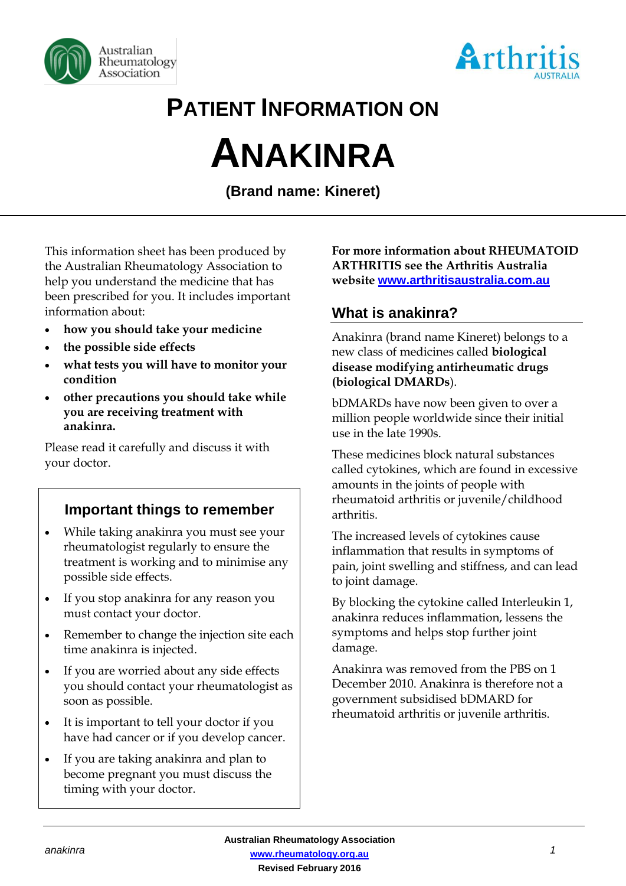



# **PATIENT INFORMATION ON**

# **ANAKINRA**

**(Brand name: Kineret)**

This information sheet has been produced by the Australian Rheumatology Association to help you understand the medicine that has been prescribed for you. It includes important information about:

- **how you should take your medicine**
- **the possible side effects**
- **what tests you will have to monitor your condition**
- **other precautions you should take while you are receiving treatment with anakinra.**

Please read it carefully and discuss it with your doctor.

# **Important things to remember**

- While taking anakinra you must see your rheumatologist regularly to ensure the treatment is working and to minimise any possible side effects.
- If you stop anakinra for any reason you must contact your doctor.
- Remember to change the injection site each time anakinra is injected.
- If you are worried about any side effects you should contact your rheumatologist as soon as possible.
- It is important to tell your doctor if you have had cancer or if you develop cancer.
- If you are taking anakinra and plan to become pregnant you must discuss the timing with your doctor.

#### **For more information about RHEUMATOID ARTHRITIS see the Arthritis Australia website [www.arthritisaustralia.com.au](http://www.arthritisaustralia.com.au/)**

# **What is anakinra?**

Anakinra (brand name Kineret) belongs to a new class of medicines called **biological disease modifying antirheumatic drugs (biological DMARDs**).

bDMARDs have now been given to over a million people worldwide since their initial use in the late 1990s.

These medicines block natural substances called cytokines, which are found in excessive amounts in the joints of people with rheumatoid arthritis or juvenile/childhood arthritis.

The increased levels of cytokines cause inflammation that results in symptoms of pain, joint swelling and stiffness, and can lead to joint damage.

By blocking the cytokine called Interleukin 1, anakinra reduces inflammation, lessens the symptoms and helps stop further joint damage.

Anakinra was removed from the PBS on 1 December 2010. Anakinra is therefore not a government subsidised bDMARD for rheumatoid arthritis or juvenile arthritis.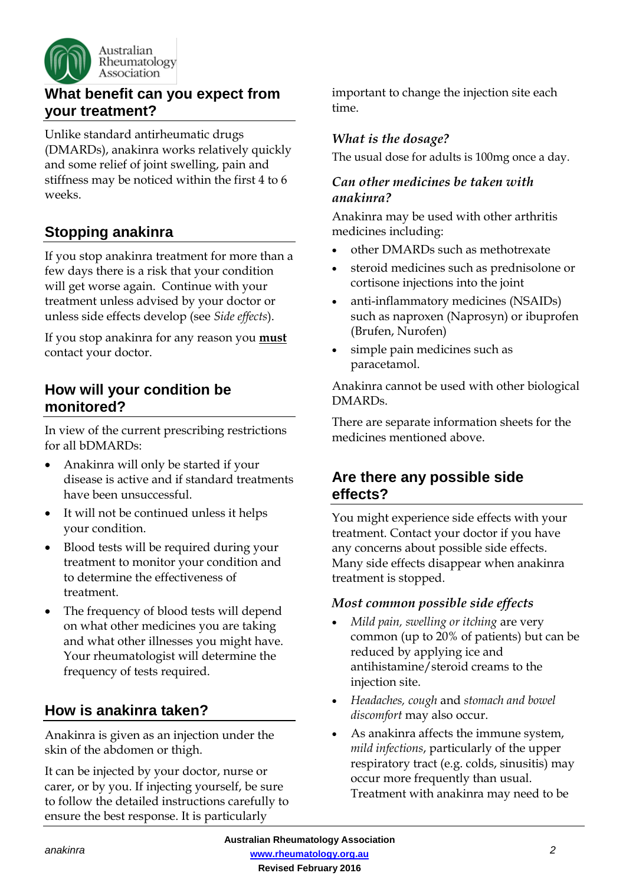

# **What benefit can you expect from your treatment?**

Unlike standard antirheumatic drugs (DMARDs), anakinra works relatively quickly and some relief of joint swelling, pain and stiffness may be noticed within the first 4 to 6 weeks.

# **Stopping anakinra**

If you stop anakinra treatment for more than a few days there is a risk that your condition will get worse again. Continue with your treatment unless advised by your doctor or unless side effects develop (see *Side effects*).

If you stop anakinra for any reason you **must** contact your doctor.

#### **How will your condition be monitored?**

In view of the current prescribing restrictions for all bDMARDs:

- Anakinra will only be started if your disease is active and if standard treatments have been unsuccessful.
- It will not be continued unless it helps your condition.
- Blood tests will be required during your treatment to monitor your condition and to determine the effectiveness of treatment.
- The frequency of blood tests will depend on what other medicines you are taking and what other illnesses you might have. Your rheumatologist will determine the frequency of tests required.

# **How is anakinra taken?**

Anakinra is given as an injection under the skin of the abdomen or thigh.

It can be injected by your doctor, nurse or carer, or by you. If injecting yourself, be sure to follow the detailed instructions carefully to ensure the best response. It is particularly

important to change the injection site each time.

#### *What is the dosage?*

The usual dose for adults is 100mg once a day.

#### *Can other medicines be taken with anakinra?*

Anakinra may be used with other arthritis medicines including:

- other DMARDs such as methotrexate
- steroid medicines such as prednisolone or cortisone injections into the joint
- anti-inflammatory medicines (NSAIDs) such as naproxen (Naprosyn) or ibuprofen (Brufen, Nurofen)
- simple pain medicines such as paracetamol.

Anakinra cannot be used with other biological DMARDs.

There are separate information sheets for the medicines mentioned above.

# **Are there any possible side effects?**

You might experience side effects with your treatment. Contact your doctor if you have any concerns about possible side effects. Many side effects disappear when anakinra treatment is stopped.

#### *Most common possible side effects*

- *Mild pain, swelling or itching* are very common (up to 20% of patients) but can be reduced by applying ice and antihistamine/steroid creams to the injection site.
- *Headaches, cough* and *stomach and bowel discomfort* may also occur.
- As anakinra affects the immune system, *mild infections*, particularly of the upper respiratory tract (e.g. colds, sinusitis) may occur more frequently than usual. Treatment with anakinra may need to be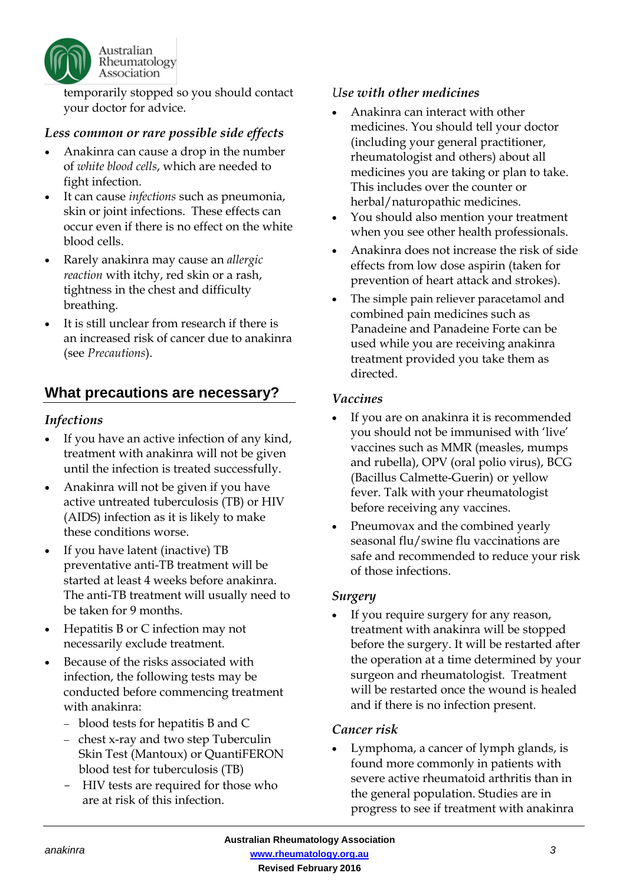

temporarily stopped so you should contact your doctor for advice.

#### *Less common or rare possible side effects*

- Anakinra can cause a drop in the number of *white blood cells*, which are needed to fight infection.
- It can cause *infections* such as pneumonia, skin or joint infections. These effects can occur even if there is no effect on the white blood cells.
- Rarely anakinra may cause an *allergic reaction* with itchy, red skin or a rash, tightness in the chest and difficulty breathing.
- It is still unclear from research if there is an increased risk of cancer due to anakinra (see *Precautions*).

# **What precautions are necessary?**

#### *Infections*

- If you have an active infection of any kind, treatment with anakinra will not be given until the infection is treated successfully.
- Anakinra will not be given if you have active untreated tuberculosis (TB) or HIV (AIDS) infection as it is likely to make these conditions worse.
- If you have latent (inactive) TB preventative anti-TB treatment will be started at least 4 weeks before anakinra. The anti-TB treatment will usually need to be taken for 9 months.
- Hepatitis B or C infection may not necessarily exclude treatment.
- Because of the risks associated with infection, the following tests may be conducted before commencing treatment with anakinra:
	- blood tests for hepatitis B and C
	- chest x-ray and two step Tuberculin Skin Test (Mantoux) or QuantiFERON blood test for tuberculosis (TB)
	- HIV tests are required for those who are at risk of this infection.

#### *Use with other medicines*

- Anakinra can interact with other medicines. You should tell your doctor (including your general practitioner, rheumatologist and others) about all medicines you are taking or plan to take. This includes over the counter or herbal/naturopathic medicines.
- You should also mention your treatment when you see other health professionals.
- Anakinra does not increase the risk of side effects from low dose aspirin (taken for prevention of heart attack and strokes).
- The simple pain reliever paracetamol and combined pain medicines such as Panadeine and Panadeine Forte can be used while you are receiving anakinra treatment provided you take them as directed.

#### *Vaccines*

- If you are on anakinra it is recommended you should not be immunised with 'live' vaccines such as MMR (measles, mumps and rubella), OPV (oral polio virus), BCG (Bacillus Calmette-Guerin) or yellow fever. Talk with your rheumatologist before receiving any vaccines.
- Pneumovax and the combined yearly seasonal flu/swine flu vaccinations are safe and recommended to reduce your risk of those infections.

#### *Surgery*

If you require surgery for any reason, treatment with anakinra will be stopped before the surgery. It will be restarted after the operation at a time determined by your surgeon and rheumatologist. Treatment will be restarted once the wound is healed and if there is no infection present.

#### *Cancer risk*

• Lymphoma, a cancer of lymph glands, is found more commonly in patients with severe active rheumatoid arthritis than in the general population. Studies are in progress to see if treatment with anakinra